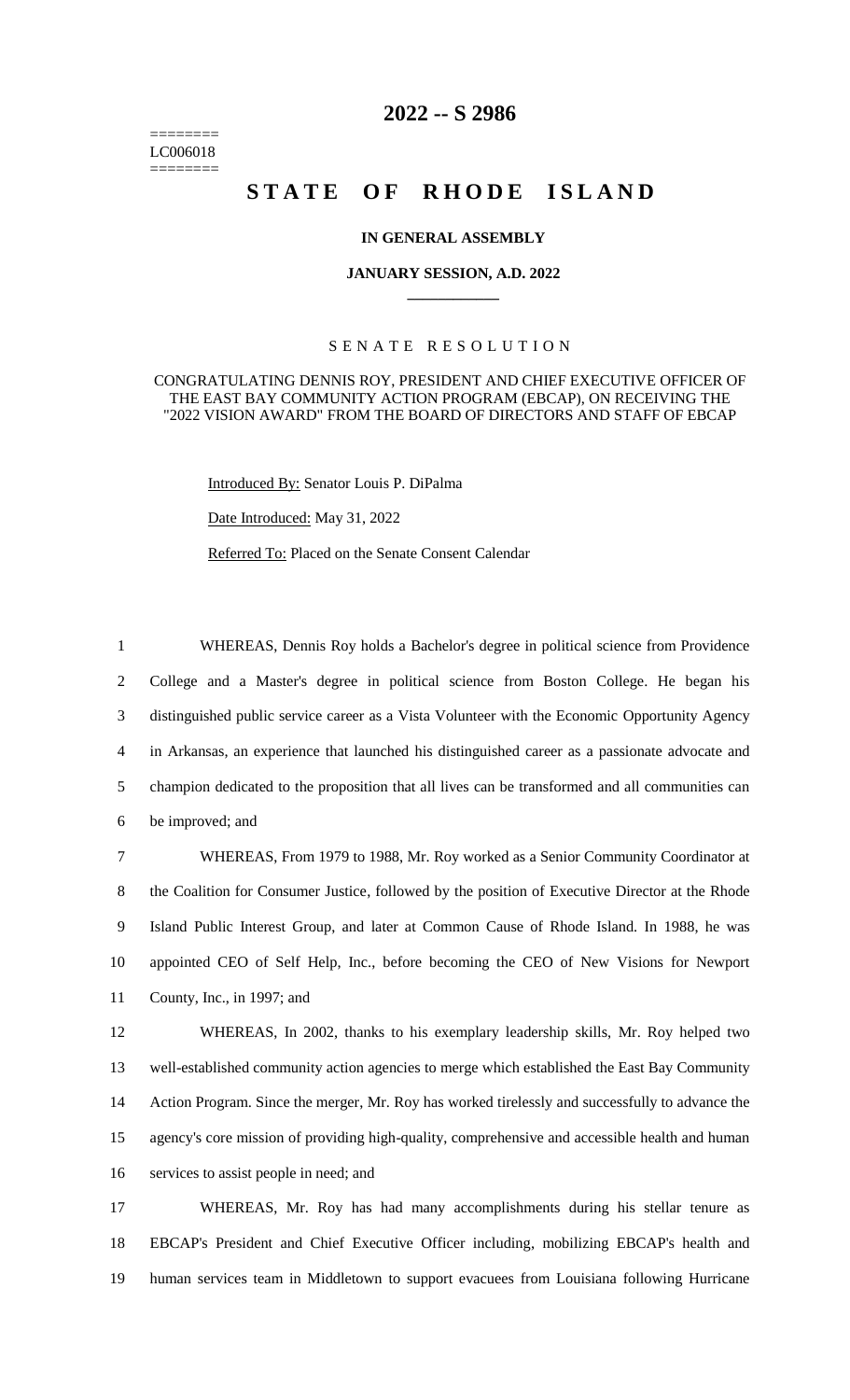======== LC006018 ========

# **2022 -- S 2986**

# STATE OF RHODE ISLAND

# **IN GENERAL ASSEMBLY**

#### **JANUARY SESSION, A.D. 2022 \_\_\_\_\_\_\_\_\_\_\_\_**

# S E N A T E R E S O L U T I O N

## CONGRATULATING DENNIS ROY, PRESIDENT AND CHIEF EXECUTIVE OFFICER OF THE EAST BAY COMMUNITY ACTION PROGRAM (EBCAP), ON RECEIVING THE "2022 VISION AWARD" FROM THE BOARD OF DIRECTORS AND STAFF OF EBCAP

Introduced By: Senator Louis P. DiPalma

Date Introduced: May 31, 2022

Referred To: Placed on the Senate Consent Calendar

 WHEREAS, Dennis Roy holds a Bachelor's degree in political science from Providence College and a Master's degree in political science from Boston College. He began his distinguished public service career as a Vista Volunteer with the Economic Opportunity Agency in Arkansas, an experience that launched his distinguished career as a passionate advocate and champion dedicated to the proposition that all lives can be transformed and all communities can be improved; and

 WHEREAS, From 1979 to 1988, Mr. Roy worked as a Senior Community Coordinator at the Coalition for Consumer Justice, followed by the position of Executive Director at the Rhode Island Public Interest Group, and later at Common Cause of Rhode Island. In 1988, he was appointed CEO of Self Help, Inc., before becoming the CEO of New Visions for Newport County, Inc., in 1997; and

 WHEREAS, In 2002, thanks to his exemplary leadership skills, Mr. Roy helped two well-established community action agencies to merge which established the East Bay Community Action Program. Since the merger, Mr. Roy has worked tirelessly and successfully to advance the agency's core mission of providing high-quality, comprehensive and accessible health and human services to assist people in need; and

17 WHEREAS, Mr. Roy has had many accomplishments during his stellar tenure as 18 EBCAP's President and Chief Executive Officer including, mobilizing EBCAP's health and 19 human services team in Middletown to support evacuees from Louisiana following Hurricane